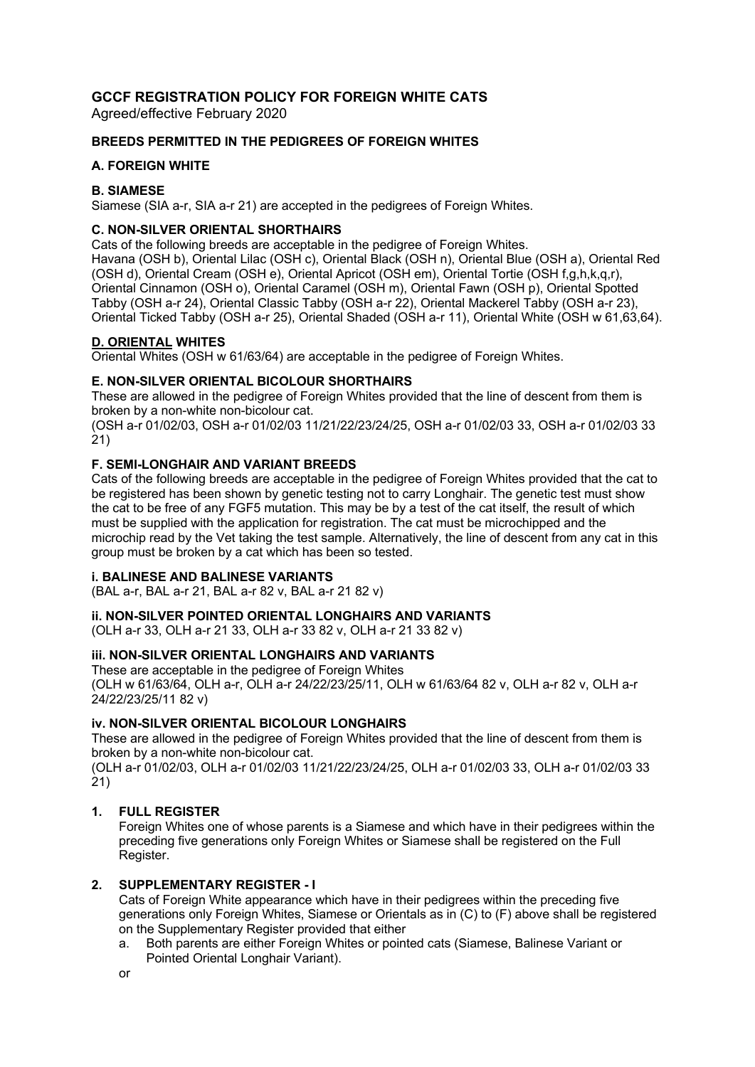# **GCCF REGISTRATION POLICY FOR FOREIGN WHITE CATS**

Agreed/effective February 2020

### **BREEDS PERMITTED IN THE PEDIGREES OF FOREIGN WHITES**

## **A. FOREIGN WHITE**

## **B. SIAMESE**

Siamese (SIA a-r, SIA a-r 21) are accepted in the pedigrees of Foreign Whites.

## **C. NON-SILVER ORIENTAL SHORTHAIRS**

Cats of the following breeds are acceptable in the pedigree of Foreign Whites. Havana (OSH b), Oriental Lilac (OSH c), Oriental Black (OSH n), Oriental Blue (OSH a), Oriental Red (OSH d), Oriental Cream (OSH e), Oriental Apricot (OSH em), Oriental Tortie (OSH f,g,h,k,q,r), Oriental Cinnamon (OSH o), Oriental Caramel (OSH m), Oriental Fawn (OSH p), Oriental Spotted Tabby (OSH a-r 24), Oriental Classic Tabby (OSH a-r 22), Oriental Mackerel Tabby (OSH a-r 23), Oriental Ticked Tabby (OSH a-r 25), Oriental Shaded (OSH a-r 11), Oriental White (OSH w 61,63,64).

## **D. ORIENTAL WHITES**

Oriental Whites (OSH w 61/63/64) are acceptable in the pedigree of Foreign Whites.

## **E. NON-SILVER ORIENTAL BICOLOUR SHORTHAIRS**

These are allowed in the pedigree of Foreign Whites provided that the line of descent from them is broken by a non-white non-bicolour cat.

(OSH a-r 01/02/03, OSH a-r 01/02/03 11/21/22/23/24/25, OSH a-r 01/02/03 33, OSH a-r 01/02/03 33 21)

## **F. SEMI-LONGHAIR AND VARIANT BREEDS**

Cats of the following breeds are acceptable in the pedigree of Foreign Whites provided that the cat to be registered has been shown by genetic testing not to carry Longhair. The genetic test must show the cat to be free of any FGF5 mutation. This may be by a test of the cat itself, the result of which must be supplied with the application for registration. The cat must be microchipped and the microchip read by the Vet taking the test sample. Alternatively, the line of descent from any cat in this group must be broken by a cat which has been so tested.

#### **i. BALINESE AND BALINESE VARIANTS**

(BAL a-r, BAL a-r 21, BAL a-r 82 v, BAL a-r 21 82 v)

#### **ii. NON-SILVER POINTED ORIENTAL LONGHAIRS AND VARIANTS**

(OLH a-r 33, OLH a-r 21 33, OLH a-r 33 82 v, OLH a-r 21 33 82 v)

#### **iii. NON-SILVER ORIENTAL LONGHAIRS AND VARIANTS**

These are acceptable in the pedigree of Foreign Whites (OLH w 61/63/64, OLH a-r, OLH a-r 24/22/23/25/11, OLH w 61/63/64 82 v, OLH a-r 82 v, OLH a-r 24/22/23/25/11 82 v)

#### **iv. NON-SILVER ORIENTAL BICOLOUR LONGHAIRS**

These are allowed in the pedigree of Foreign Whites provided that the line of descent from them is broken by a non-white non-bicolour cat.

(OLH a-r 01/02/03, OLH a-r 01/02/03 11/21/22/23/24/25, OLH a-r 01/02/03 33, OLH a-r 01/02/03 33 21)

#### **1. FULL REGISTER**

Foreign Whites one of whose parents is a Siamese and which have in their pedigrees within the preceding five generations only Foreign Whites or Siamese shall be registered on the Full Register.

#### **2. SUPPLEMENTARY REGISTER - I**

Cats of Foreign White appearance which have in their pedigrees within the preceding five generations only Foreign Whites, Siamese or Orientals as in (C) to (F) above shall be registered on the Supplementary Register provided that either

a. Both parents are either Foreign Whites or pointed cats (Siamese, Balinese Variant or Pointed Oriental Longhair Variant).